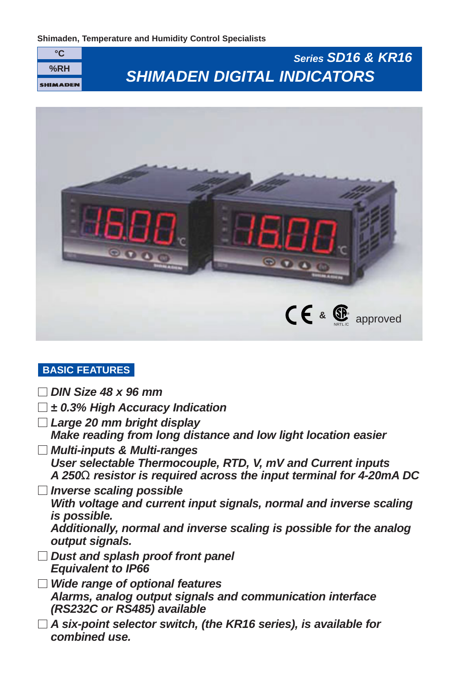



# **BASIC FEATURES**

**DIN Size 48 x 96 mm**

| $\pm$ 0.3% High Accuracy Indication                                                                                                                                                                                    |
|------------------------------------------------------------------------------------------------------------------------------------------------------------------------------------------------------------------------|
| Large 20 mm bright display<br>Make reading from long distance and low light location easier                                                                                                                            |
| <b>Multi-inputs &amp; Multi-ranges</b><br>User selectable Thermocouple, RTD, V, mV and Current inputs<br>A 250 $\Omega$ resistor is required across the input terminal for 4-20mA DC                                   |
| <b>Inverse scaling possible</b><br>With voltage and current input signals, normal and inverse scaling<br><i>is possible.</i><br>Additionally, normal and inverse scaling is possible for the analog<br>output signals. |
| Dust and splash proof front panel<br><b>Equivalent to IP66</b>                                                                                                                                                         |
| <b>Wide range of optional features</b><br>Alarms, analog output signals and communication interface<br>(RS232C or RS485) available                                                                                     |
| A six-point selector switch, (the KR16 series), is available for<br>combined use.                                                                                                                                      |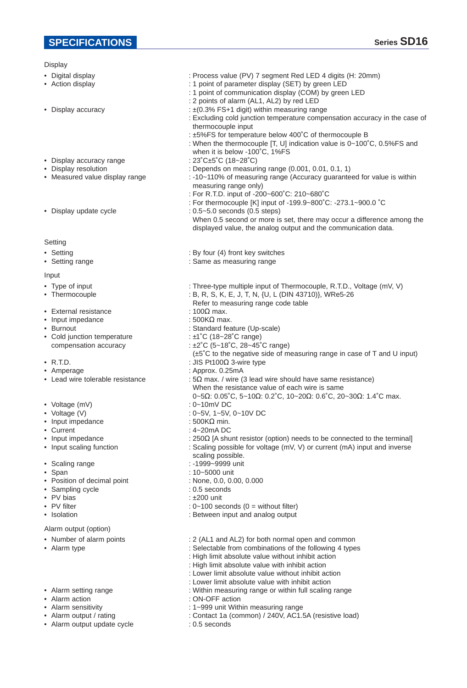- Digital display
- Action display
- Display accuracy
- Display accuracy range
- Display resolution
- Measured value display range
- Display update cycle
- **Setting**
- Setting
- Setting range
- Input
- Type of input
- Thermocouple
- External resistance
- Input impedance
- Burnout
- Cold junction temperature compensation accuracy
- R.T.D.
- Amperage
- Lead wire tolerable resistance
- Voltage (mV)
- Voltage (V)
- Input impedance
- Current
- Input impedance
- Input scaling function
- Scaling range
- Span
- Position of decimal point
- Sampling cycle
- PV bias
- PV filter • Isolation
- Alarm output (option)
- Number of alarm points
- Alarm type
- Alarm setting range
- Alarm action
- Alarm sensitivity
- Alarm output / rating
- Alarm output update cycle
- : Process value (PV) 7 segment Red LED 4 digits (H: 20mm)
- : 1 point of parameter display (SET) by green LED
- : 1 point of communication display (COM) by green LED
- : 2 points of alarm (AL1, AL2) by red LED
- : ±(0.3% FS+1 digit) within measuring range
- : Excluding cold junction temperature compensation accuracy in the case of thermocouple input
- : ±5%FS for temperature below 400˚C of thermocouple B
- : When the thermocouple [T, U] indication value is 0~100˚C, 0.5%FS and when it is below -100˚C, 1%FS
- : 23˚C±5˚C (18~28˚C)
- : Depends on measuring range (0.001, 0.01, 0.1, 1)
- : -10~110% of measuring range (Accuracy guaranteed for value is within measuring range only)
- : For R.T.D. input of -200~600˚C: 210~680˚C
	-
- : 0.5~5.0 seconds (0.5 steps)
	- When 0.5 second or more is set, there may occur a difference among the displayed value, the analog output and the communication data.
- : By four (4) front key switches
- : Same as measuring range
- : Three-type multiple input of Thermocouple, R.T.D., Voltage (mV, V)
	-
- Refer to measuring range code table
- : 100Ω max.
- : 500KΩ max.
- : Standard feature (Up-scale)
- : ±1˚C (18~28˚C range)
- : ±2˚C (5~18˚C, 28~45˚C range)
- (±5˚C to the negative side of measuring range in case of T and U input)
- : JIS Pt100Ω 3-wire type
- : Approx. 0.25mA
- :  $5\Omega$  max. / wire (3 lead wire should have same resistance) When the resistance value of each wire is same
- : 0~10mV DC
- : 0~5V, 1~5V, 0~10V DC
- : 500KΩ min.
- : 4~20mA DC
- : 250Ω [A shunt resistor (option) needs to be connected to the terminal]
- : Scaling possible for voltage (mV, V) or current (mA) input and inverse
- scaling possible.
- : -1999~9999 unit
- : 10~5000 unit
- : None, 0.0, 0.00, 0.000
- : 0.5 seconds
- 
- :  $0 100$  seconds  $(0 =$  without filter)
- : Between input and analog output
- : 2 (AL1 and AL2) for both normal open and common
- : Selectable from combinations of the following 4 types
- : High limit absolute value without inhibit action
- : High limit absolute value with inhibit action
- : Lower limit absolute value without inhibit action
- : Lower limit absolute value with inhibit action
- : Within measuring range or within full scaling range
- : ON-OFF action
- : 1~999 unit Within measuring range
- : Contact 1a (common) / 240V, AC1.5A (resistive load)
- : 0.5 seconds
- : For thermocouple [K] input of -199.9~800˚C: -273.1~900.0 ˚C : B, R, S, K, E, J, T, N, {U, L (DIN 43710)}, WRe5-26 0~5Ω: 0.05˚C, 5~10Ω: 0.2˚C, 10~20Ω: 0.6˚C, 20~30Ω: 1.4˚C max.
- : ±200 unit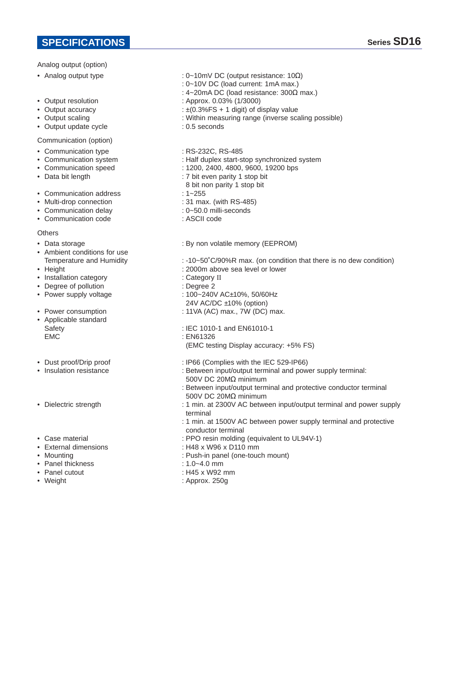## Analog output (option)

- Analog output type
- Output resolution
- Output accuracy
- Output scaling
- Output update cycle
- Communication (option)
- Communication type
- Communication system • Communication speed
- Data bit length
- Communication address
- Multi-drop connection
- Communication delay
- Communication code

#### Othere

- Data storage
- Ambient conditions for use Temperature and Humidity
- Height
- Installation category
- Degree of pollution
- Power supply voltage
- Power consumption
- Applicable standard Safety EMC
- Dust proof/Drip proof
- Insulation resistance
- Dielectric strength
- Case material
- External dimensions
- Mounting
- Panel thickness
- Panel cutout
- Weight
- : 0~10mV DC (output resistance: 10Ω)
- : 0~10V DC (load current: 1mA max.)
- : 4~20mA DC (load resistance: 300Ω max.)
- : Approx. 0.03% (1/3000)
- : ±(0.3%FS + 1 digit) of display value
- : Within measuring range (inverse scaling possible)
- : 0.5 seconds
- : RS-232C, RS-485
- : Half duplex start-stop synchronized system
- : 1200, 2400, 4800, 9600, 19200 bps
- : 7 bit even parity 1 stop bit
- 8 bit non parity 1 stop bit
- : 1~255
- : 31 max. (with RS-485)
- : 0~50.0 milli-seconds
- : ASCII code
- : By non volatile memory (EEPROM)
- : -10~50˚C/90%R max. (on condition that there is no dew condition)
- : 2000m above sea level or lower
- : Category II
- : Degree 2
- : 100~240V AC±10%, 50/60Hz
- 24V AC/DC ±10% (option)
- : 11VA (AC) max., 7W (DC) max.
- : IEC 1010-1 and EN61010-1
- : EN61326
- (EMC testing Display accuracy: +5% FS)
- : IP66 (Complies with the IEC 529-IP66)
- : Between input/output terminal and power supply terminal: 500V DC 20MΩ minimum
- : Between input/output terminal and protective conductor terminal 500V DC 20MΩ minimum
- : 1 min. at 2300V AC between input/output terminal and power supply terminal
- : 1 min. at 1500V AC between power supply terminal and protective conductor terminal
- : PPO resin molding (equivalent to UL94V-1)
- : H48 x W96 x D110 mm
- : Push-in panel (one-touch mount)
- : 1.0~4.0 mm
- : H45 x W92 mm
- : Approx. 250g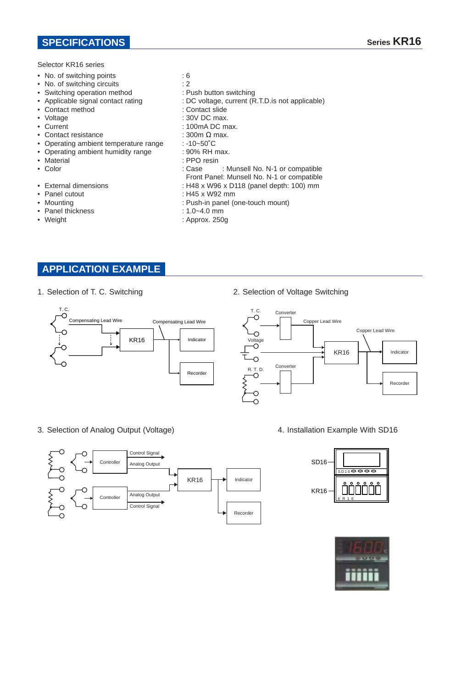## **SPECIFICATIONS**

Selector KR16 series

- No. of switching points
- No. of switching circuits
- Switching operation method
- Applicable signal contact rating
- Contact method
- Voltage
- Current
- Contact resistance
- Operating ambient temperature range
- Operating ambient humidity range
- Material
- Color
- External dimensions
- Panel cutout
- Mounting
- Panel thickness
- Weight
- : 6
- 
- : 2
- : Push button switching
- : DC voltage, current (R.T.D.is not applicable)
- : Contact slide
- : 30V DC max.
- : 100mA DC max.
- : 300m Ω max.
- : -10~50˚C
- : 90% RH max.
- : PPO resin
- : Case : Munsell No. N-1 or compatible
- Front Panel: Munsell No. N-1 or compatible
- : H48 x W96 x D118 (panel depth: 100) mm
- : H45 x W92 mm
- : Push-in panel (one-touch mount)
- : 1.0~4.0 mm
- : Approx. 250g

## **APPLICATION EXAMPLE**

1. Selection of T. C. Switching



3. Selection of Analog Output (Voltage)

 $KR16$   $\rightarrow$  Indicator **Controller** Controller Control Signal Control Signal Analog Output Analog Output Recorder

2. Selection of Voltage Switching



4. Installation Example With SD16



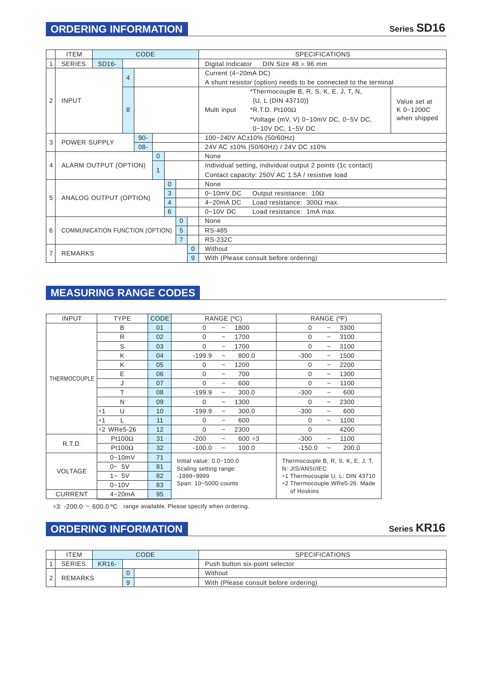|                | <b>ITEM</b>                                            |                    | CODE   |  |  |   |                                                             |                                       | <b>SPECIFICATIONS</b>                                           |                                                     |              |  |  |
|----------------|--------------------------------------------------------|--------------------|--------|--|--|---|-------------------------------------------------------------|---------------------------------------|-----------------------------------------------------------------|-----------------------------------------------------|--------------|--|--|
|                | <b>SERIES</b>                                          | SD <sub>16</sub> - |        |  |  |   |                                                             |                                       | DIN Size $48 \times 96$ mm<br>Digital Indicator                 |                                                     |              |  |  |
|                |                                                        | $\overline{4}$     |        |  |  |   |                                                             | Current (4~20mA DC)                   |                                                                 |                                                     |              |  |  |
|                |                                                        |                    |        |  |  |   |                                                             |                                       | A shunt resistor (option) needs to be connected to the terminal |                                                     |              |  |  |
|                |                                                        |                    |        |  |  |   |                                                             |                                       | *Thermocouple B, R, S, K, E, J, T, N,                           |                                                     |              |  |  |
| $\overline{2}$ | <b>INPUT</b>                                           |                    |        |  |  |   |                                                             |                                       |                                                                 | {U, L (DIN 43710)}                                  | Value set at |  |  |
|                |                                                        |                    | 8      |  |  |   |                                                             |                                       | Multi input                                                     | $*$ R.T.D. Pt100 $\Omega$                           | $K$ 0~1200C  |  |  |
|                |                                                        |                    |        |  |  |   |                                                             |                                       |                                                                 | *Voltage (mV, V) $0 \sim 10$ MV DC, $0 \sim 5V$ DC, | when shipped |  |  |
|                |                                                        |                    |        |  |  |   |                                                             |                                       |                                                                 | 0~10V DC, 1~5V DC                                   |              |  |  |
|                |                                                        |                    | $90 -$ |  |  |   |                                                             | 100~240V AC±10% (50/60Hz)             |                                                                 |                                                     |              |  |  |
| 3              | <b>POWER SUPPLY</b><br>$08 -$                          |                    |        |  |  |   | 24V AC ±10% (50/60Hz) / 24V DC ±10%                         |                                       |                                                                 |                                                     |              |  |  |
|                | $\Omega$<br>ALARM OUTPUT (OPTION)                      |                    |        |  |  |   | None                                                        |                                       |                                                                 |                                                     |              |  |  |
| 4              |                                                        |                    |        |  |  |   | Individual setting, individual output 2 points (1c contact) |                                       |                                                                 |                                                     |              |  |  |
|                |                                                        |                    |        |  |  |   |                                                             |                                       | Contact capacity: 250V AC 1.5A / resistive load                 |                                                     |              |  |  |
|                |                                                        | $\Omega$           |        |  |  |   | None                                                        |                                       |                                                                 |                                                     |              |  |  |
| 5              | 3<br>ANALOG OUTPUT (OPTION)<br>$\overline{4}$          |                    |        |  |  |   |                                                             |                                       | $0 - 10$ mV DC                                                  | Output resistance: $10\Omega$                       |              |  |  |
|                |                                                        |                    |        |  |  |   |                                                             |                                       | $4 - 20$ mA DC                                                  | Load resistance: $300\Omega$ max.                   |              |  |  |
|                | 6                                                      |                    |        |  |  |   | $0 - 10V$ DC                                                | Load resistance: 1mA max.             |                                                                 |                                                     |              |  |  |
|                |                                                        |                    |        |  |  |   | $\Omega$                                                    |                                       | None                                                            |                                                     |              |  |  |
| 6              | 5<br>COMMUNICATION FUNCTION (OPTION)<br>$\overline{7}$ |                    |        |  |  |   |                                                             |                                       | RS-485                                                          |                                                     |              |  |  |
|                |                                                        |                    |        |  |  |   |                                                             |                                       | <b>RS-232C</b>                                                  |                                                     |              |  |  |
| 7              | <b>REMARKS</b>                                         |                    |        |  |  |   |                                                             | $\Omega$                              | Without                                                         |                                                     |              |  |  |
|                |                                                        |                    |        |  |  | 9 |                                                             | With (Please consult before ordering) |                                                                 |                                                     |              |  |  |

# **MEASURING RANGE CODES**

| <b>INPUT</b>        | <b>TYPE</b>    | <b>CODE</b> | RANGE (°C)                                                                                       |                           |          | RANGE<br>$(^{\circ}F)$                                                                                                   |                       |       |
|---------------------|----------------|-------------|--------------------------------------------------------------------------------------------------|---------------------------|----------|--------------------------------------------------------------------------------------------------------------------------|-----------------------|-------|
|                     | B              | 01          | $\Omega$                                                                                         | $\tilde{\phantom{a}}$     | 1800     | $\Omega$                                                                                                                 |                       | 3300  |
|                     | R              | 02          | $\Omega$                                                                                         | $\widetilde{\phantom{m}}$ | 1700     | $\Omega$                                                                                                                 | $\tilde{\phantom{a}}$ | 3100  |
|                     | S              | 03          | $\Omega$                                                                                         | $\tilde{\phantom{a}}$     | 1700     | $\Omega$                                                                                                                 | $\tilde{\phantom{a}}$ | 3100  |
|                     | K              | 04          | $-199.9$                                                                                         | $\widetilde{\phantom{m}}$ | 800.0    | $-300$                                                                                                                   | $\tilde{\phantom{a}}$ | 1500  |
|                     | K              | 05          | $\Omega$                                                                                         | $\widetilde{\phantom{m}}$ | 1200     | $\Omega$                                                                                                                 | $\tilde{}$            | 2200  |
| <b>THERMOCOUPLE</b> | E              | 06          | $\Omega$                                                                                         | $\tilde{\phantom{a}}$     | 700      | $\Omega$                                                                                                                 | $\tilde{}$            | 1300  |
|                     | J              | 07          | $\Omega$                                                                                         | $\tilde{\phantom{a}}$     | 600      | $\Omega$                                                                                                                 | $\tilde{}$            | 1100  |
|                     | т              | 08          | $-199.9$                                                                                         | $\widetilde{\phantom{m}}$ | 300.0    | $-300$                                                                                                                   | $\tilde{}$            | 600   |
|                     | N              | 09          | $\Omega$                                                                                         | $\widetilde{\phantom{m}}$ | 1300     | $\Omega$                                                                                                                 | $\tilde{\phantom{a}}$ | 2300  |
|                     | U<br>$*1$      | 10          | $-199.9$                                                                                         | $\tilde{\phantom{a}}$     | 300.0    | $-300$                                                                                                                   |                       | 600   |
|                     | $*1$           | 11          | $\Omega$                                                                                         | $\tilde{\phantom{a}}$     | 600      | $\Omega$                                                                                                                 | $\tilde{\phantom{a}}$ | 1100  |
|                     | *2 WRe5-26     | 12          | $\Omega$                                                                                         | $\widetilde{\phantom{m}}$ | 2300     | $\Omega$                                                                                                                 |                       | 4200  |
| R.T.D.              | Pt100 $\Omega$ | 31          | $-200$                                                                                           | $\tilde{\phantom{a}}$     | $600 *3$ | $-300$                                                                                                                   |                       | 1100  |
|                     | Pt100 $\Omega$ | 32          | $-100.0$                                                                                         | $\tilde{}$                | 100.0    | $-150.0$                                                                                                                 | $\tilde{}$            | 200.0 |
|                     | $0 - 10$ m $V$ | 71          | Initial value: $0.0 - 100.0$<br>Scaling setting range:<br>$-1999 - 9999$<br>Span: 10~5000 counts |                           |          | Thermocouple B, R, S, K, E, J, T,<br>N: JIS/ANSI/IEC<br>*1 Thermocouple U, L: DIN 43710<br>*2 Thermocouple WRe5-26: Made |                       |       |
| <b>VOLTAGE</b>      | $0 - 5V$       | 81          |                                                                                                  |                           |          |                                                                                                                          |                       |       |
|                     | $1 - 5V$       | 82          |                                                                                                  |                           |          |                                                                                                                          |                       |       |
|                     | $0 - 10V$      | 83          |                                                                                                  |                           |          |                                                                                                                          |                       |       |
| <b>CURRENT</b>      | $4 - 20mA$     | 95          |                                                                                                  |                           |          | of Hoskins                                                                                                               |                       |       |

\*3: -200.0 ~ 600.0 °C range available. Please specify when ordering.

# **ORDERING INFORMATION**

|  | <b>TEM</b>     |              |   | CODE | <b>SPECIFICATIONS</b>                 |
|--|----------------|--------------|---|------|---------------------------------------|
|  | <b>SERIES</b>  | <b>KR16-</b> |   |      | Push button six-point selector        |
|  | <b>REMARKS</b> |              |   |      | Without                               |
|  |                |              | 9 |      | With (Please consult before ordering) |